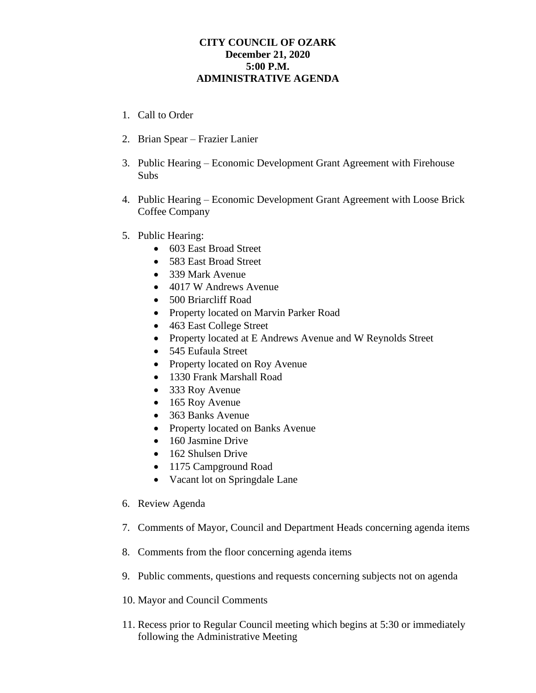## **CITY COUNCIL OF OZARK December 21, 2020 5:00 P.M. ADMINISTRATIVE AGENDA**

- 1. Call to Order
- 2. Brian Spear Frazier Lanier
- 3. Public Hearing Economic Development Grant Agreement with Firehouse Subs
- 4. Public Hearing Economic Development Grant Agreement with Loose Brick Coffee Company
- 5. Public Hearing:
	- 603 East Broad Street
	- 583 East Broad Street
	- 339 Mark Avenue
	- 4017 W Andrews Avenue
	- 500 Briarcliff Road
	- Property located on Marvin Parker Road
	- 463 East College Street
	- Property located at E Andrews Avenue and W Reynolds Street
	- 545 Eufaula Street
	- Property located on Roy Avenue
	- 1330 Frank Marshall Road
	- 333 Roy Avenue
	- 165 Roy Avenue
	- 363 Banks Avenue
	- Property located on Banks Avenue
	- 160 Jasmine Drive
	- 162 Shulsen Drive
	- 1175 Campground Road
	- Vacant lot on Springdale Lane
- 6. Review Agenda
- 7. Comments of Mayor, Council and Department Heads concerning agenda items
- 8. Comments from the floor concerning agenda items
- 9. Public comments, questions and requests concerning subjects not on agenda
- 10. Mayor and Council Comments
- 11. Recess prior to Regular Council meeting which begins at 5:30 or immediately following the Administrative Meeting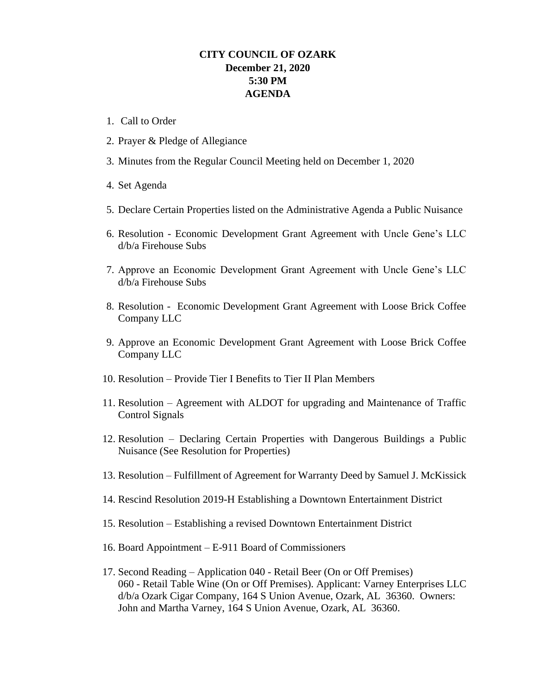## **CITY COUNCIL OF OZARK December 21, 2020 5:30 PM AGENDA**

- 1. Call to Order
- 2. Prayer & Pledge of Allegiance
- 3. Minutes from the Regular Council Meeting held on December 1, 2020
- 4. Set Agenda
- 5. Declare Certain Properties listed on the Administrative Agenda a Public Nuisance
- 6. Resolution Economic Development Grant Agreement with Uncle Gene's LLC d/b/a Firehouse Subs
- 7. Approve an Economic Development Grant Agreement with Uncle Gene's LLC d/b/a Firehouse Subs
- 8. Resolution Economic Development Grant Agreement with Loose Brick Coffee Company LLC
- 9. Approve an Economic Development Grant Agreement with Loose Brick Coffee Company LLC
- 10. Resolution Provide Tier I Benefits to Tier II Plan Members
- 11. Resolution Agreement with ALDOT for upgrading and Maintenance of Traffic Control Signals
- 12. Resolution Declaring Certain Properties with Dangerous Buildings a Public Nuisance (See Resolution for Properties)
- 13. Resolution Fulfillment of Agreement for Warranty Deed by Samuel J. McKissick
- 14. Rescind Resolution 2019-H Establishing a Downtown Entertainment District
- 15. Resolution Establishing a revised Downtown Entertainment District
- 16. Board Appointment E-911 Board of Commissioners
- 17. Second Reading Application 040 Retail Beer (On or Off Premises) 060 - Retail Table Wine (On or Off Premises). Applicant: Varney Enterprises LLC d/b/a Ozark Cigar Company, 164 S Union Avenue, Ozark, AL 36360. Owners: John and Martha Varney, 164 S Union Avenue, Ozark, AL 36360.